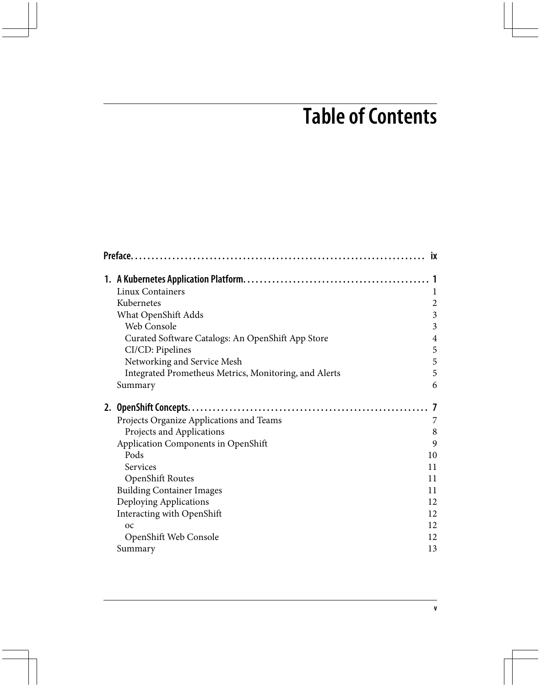## **Table of Contents**

|  | <b>ix</b>                                             |                |  |
|--|-------------------------------------------------------|----------------|--|
|  |                                                       |                |  |
|  | Linux Containers                                      | 1              |  |
|  | Kubernetes                                            | $\overline{2}$ |  |
|  | What OpenShift Adds                                   | 3              |  |
|  | Web Console                                           | 3              |  |
|  | Curated Software Catalogs: An OpenShift App Store     | $\overline{4}$ |  |
|  | CI/CD: Pipelines                                      | 5              |  |
|  | Networking and Service Mesh                           | 5              |  |
|  | Integrated Prometheus Metrics, Monitoring, and Alerts | 5              |  |
|  | Summary                                               | 6              |  |
|  |                                                       |                |  |
|  | Projects Organize Applications and Teams              | 7              |  |
|  | Projects and Applications                             | 8              |  |
|  | Application Components in OpenShift                   | 9              |  |
|  | Pods                                                  | 10             |  |
|  | Services                                              | 11             |  |
|  | <b>OpenShift Routes</b>                               | 11             |  |
|  | <b>Building Container Images</b>                      | 11             |  |
|  | Deploying Applications                                | 12             |  |
|  | Interacting with OpenShift                            | 12             |  |
|  | OC                                                    | 12             |  |
|  | OpenShift Web Console                                 | 12             |  |
|  | Summary                                               | 13             |  |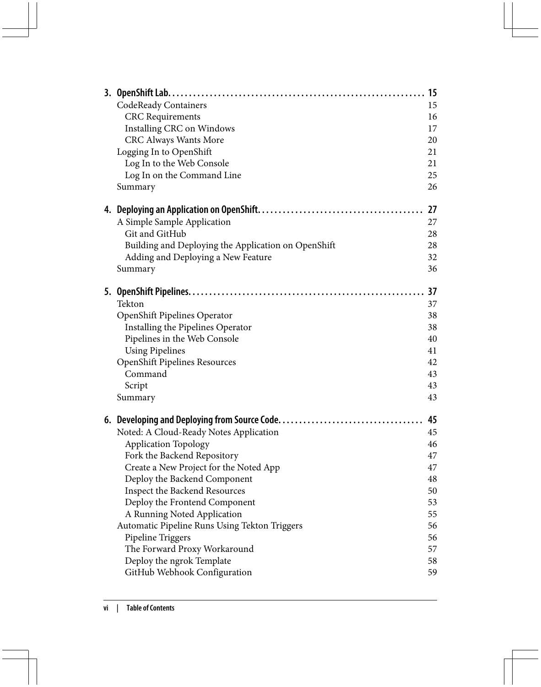|  |                                                     | 15 |
|--|-----------------------------------------------------|----|
|  | CodeReady Containers                                | 15 |
|  | <b>CRC</b> Requirements                             | 16 |
|  | Installing CRC on Windows                           | 17 |
|  | CRC Always Wants More                               | 20 |
|  | Logging In to OpenShift                             | 21 |
|  | Log In to the Web Console                           | 21 |
|  | Log In on the Command Line                          | 25 |
|  | Summary                                             | 26 |
|  |                                                     | 27 |
|  | A Simple Sample Application                         | 27 |
|  | Git and GitHub                                      | 28 |
|  | Building and Deploying the Application on OpenShift | 28 |
|  | Adding and Deploying a New Feature                  | 32 |
|  | Summary                                             | 36 |
|  |                                                     |    |
|  |                                                     | 37 |
|  | Tekton                                              | 37 |
|  | <b>OpenShift Pipelines Operator</b>                 | 38 |
|  | Installing the Pipelines Operator                   | 38 |
|  | Pipelines in the Web Console                        | 40 |
|  | <b>Using Pipelines</b>                              | 41 |
|  | <b>OpenShift Pipelines Resources</b>                | 42 |
|  | Command                                             | 43 |
|  | Script                                              | 43 |
|  | Summary                                             | 43 |
|  |                                                     |    |
|  |                                                     | 45 |
|  | Noted: A Cloud-Ready Notes Application              | 45 |
|  | <b>Application Topology</b>                         | 46 |
|  | Fork the Backend Repository                         | 47 |
|  | Create a New Project for the Noted App              | 47 |
|  | Deploy the Backend Component                        | 48 |
|  | Inspect the Backend Resources                       | 50 |
|  | Deploy the Frontend Component                       | 53 |
|  | A Running Noted Application                         | 55 |
|  | Automatic Pipeline Runs Using Tekton Triggers       | 56 |
|  | Pipeline Triggers                                   | 56 |
|  | The Forward Proxy Workaround                        | 57 |
|  | Deploy the ngrok Template                           | 58 |
|  | GitHub Webhook Configuration                        | 59 |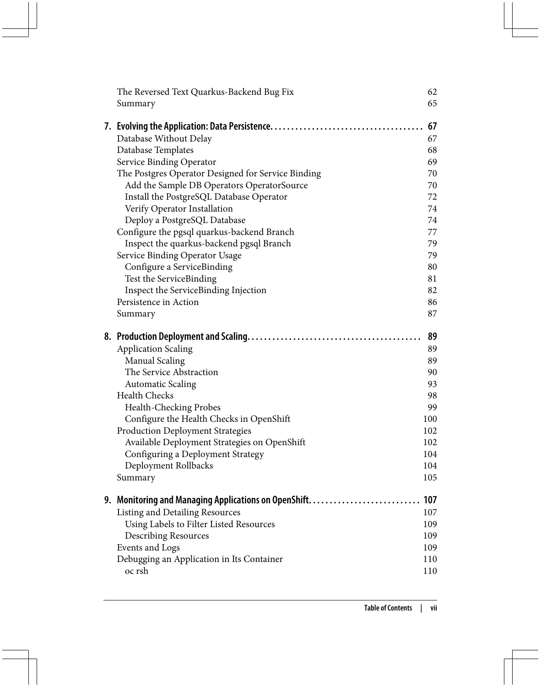|    | The Reversed Text Quarkus-Backend Bug Fix          | 62  |
|----|----------------------------------------------------|-----|
|    | Summary                                            | 65  |
|    |                                                    | 67  |
|    | Database Without Delay                             | 67  |
|    | Database Templates                                 | 68  |
|    | Service Binding Operator                           | 69  |
|    | The Postgres Operator Designed for Service Binding | 70  |
|    | Add the Sample DB Operators OperatorSource         | 70  |
|    | Install the PostgreSQL Database Operator           | 72  |
|    | Verify Operator Installation                       | 74  |
|    | Deploy a PostgreSQL Database                       | 74  |
|    | Configure the pgsql quarkus-backend Branch         | 77  |
|    | Inspect the quarkus-backend pgsql Branch           | 79  |
|    | Service Binding Operator Usage                     | 79  |
|    | Configure a ServiceBinding                         | 80  |
|    | Test the ServiceBinding                            | 81  |
|    | Inspect the ServiceBinding Injection               | 82  |
|    | Persistence in Action                              | 86  |
|    | Summary                                            | 87  |
|    |                                                    | 89  |
|    | <b>Application Scaling</b>                         | 89  |
|    | Manual Scaling                                     | 89  |
|    | The Service Abstraction                            | 90  |
|    | <b>Automatic Scaling</b>                           | 93  |
|    | Health Checks                                      | 98  |
|    | Health-Checking Probes                             | 99  |
|    | Configure the Health Checks in OpenShift           | 100 |
|    | <b>Production Deployment Strategies</b>            | 102 |
|    | Available Deployment Strategies on OpenShift       | 102 |
|    | Configuring a Deployment Strategy                  | 104 |
|    | Deployment Rollbacks                               | 104 |
|    | Summary                                            | 105 |
| 9. | Monitoring and Managing Applications on OpenShift  | 107 |
|    | Listing and Detailing Resources                    | 107 |
|    | Using Labels to Filter Listed Resources            | 109 |
|    | <b>Describing Resources</b>                        | 109 |
|    | Events and Logs                                    | 109 |
|    | Debugging an Application in Its Container          | 110 |
|    | oc rsh                                             | 110 |